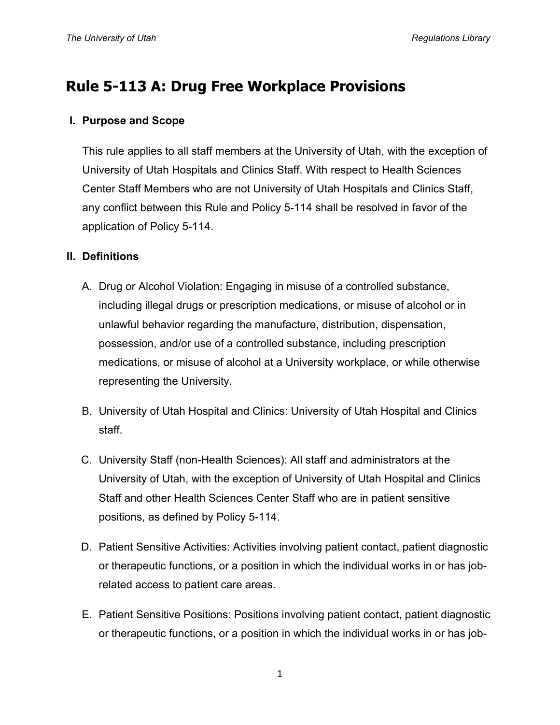# **Rule 5-113 A: Drug Free Workplace Provisions**

## **I. Purpose and Scope**

This rule applies to all staff members at the University of Utah, with the exception of University of Utah Hospitals and Clinics Staff. With respect to Health Sciences Center Staff Members who are not University of Utah Hospitals and Clinics Staff, any conflict between this Rule and Policy 5-114 shall be resolved in favor of the application of Policy 5-114.

### **II. Definitions**

- A. Drug or Alcohol Violation: Engaging in misuse of a controlled substance, including illegal drugs or prescription medications, or misuse of alcohol or in unlawful behavior regarding the manufacture, distribution, dispensation, possession, and/or use of a controlled substance, including prescription medications, or misuse of alcohol at a University workplace, or while otherwise representing the University.
- B. University of Utah Hospital and Clinics: University of Utah Hospital and Clinics staff.
- C. University Staff (non-Health Sciences): All staff and administrators at the University of Utah, with the exception of University of Utah Hospital and Clinics Staff and other Health Sciences Center Staff who are in patient sensitive positions, as defined by Policy 5-114.
- D. Patient Sensitive Activities: Activities involving patient contact, patient diagnostic or therapeutic functions, or a position in which the individual works in or has jobrelated access to patient care areas.
- E. Patient Sensitive Positions: Positions involving patient contact, patient diagnostic or therapeutic functions, or a position in which the individual works in or has job-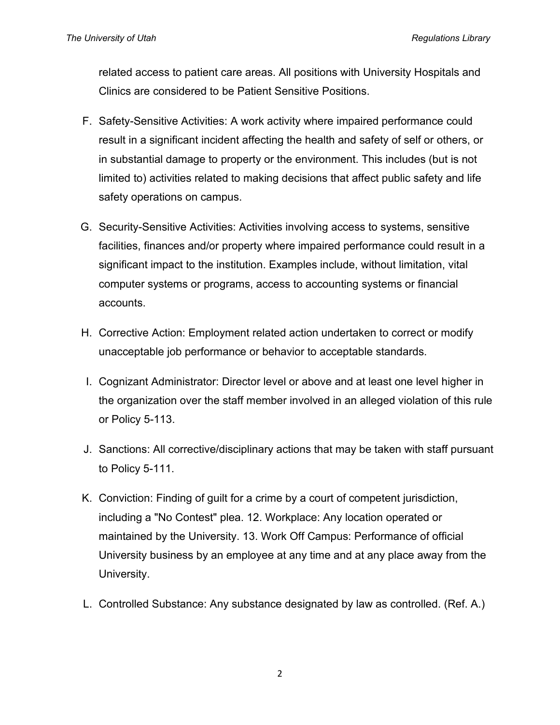related access to patient care areas. All positions with University Hospitals and Clinics are considered to be Patient Sensitive Positions.

- F. Safety-Sensitive Activities: A work activity where impaired performance could result in a significant incident affecting the health and safety of self or others, or in substantial damage to property or the environment. This includes (but is not limited to) activities related to making decisions that affect public safety and life safety operations on campus.
- G. Security-Sensitive Activities: Activities involving access to systems, sensitive facilities, finances and/or property where impaired performance could result in a significant impact to the institution. Examples include, without limitation, vital computer systems or programs, access to accounting systems or financial accounts.
- H. Corrective Action: Employment related action undertaken to correct or modify unacceptable job performance or behavior to acceptable standards.
- I. Cognizant Administrator: Director level or above and at least one level higher in the organization over the staff member involved in an alleged violation of this rule or Policy 5-113.
- J. Sanctions: All corrective/disciplinary actions that may be taken with staff pursuant to Policy 5-111.
- K. Conviction: Finding of guilt for a crime by a court of competent jurisdiction, including a "No Contest" plea. 12. Workplace: Any location operated or maintained by the University. 13. Work Off Campus: Performance of official University business by an employee at any time and at any place away from the University.
- L. Controlled Substance: Any substance designated by law as controlled. (Ref. A.)

2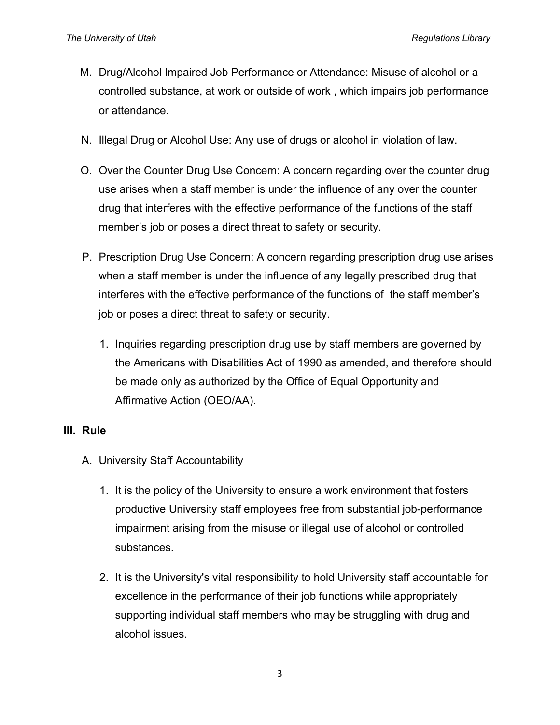- M. Drug/Alcohol Impaired Job Performance or Attendance: Misuse of alcohol or a controlled substance, at work or outside of work , which impairs job performance or attendance.
- N. Illegal Drug or Alcohol Use: Any use of drugs or alcohol in violation of law.
- O. Over the Counter Drug Use Concern: A concern regarding over the counter drug use arises when a staff member is under the influence of any over the counter drug that interferes with the effective performance of the functions of the staff member's job or poses a direct threat to safety or security.
- P. Prescription Drug Use Concern: A concern regarding prescription drug use arises when a staff member is under the influence of any legally prescribed drug that interferes with the effective performance of the functions of the staff member's job or poses a direct threat to safety or security.
	- 1. Inquiries regarding prescription drug use by staff members are governed by the Americans with Disabilities Act of 1990 as amended, and therefore should be made only as authorized by the Office of Equal Opportunity and Affirmative Action (OEO/AA).

#### **III. Rule**

- A. University Staff Accountability
	- 1. It is the policy of the University to ensure a work environment that fosters productive University staff employees free from substantial job-performance impairment arising from the misuse or illegal use of alcohol or controlled substances.
	- 2. It is the University's vital responsibility to hold University staff accountable for excellence in the performance of their job functions while appropriately supporting individual staff members who may be struggling with drug and alcohol issues.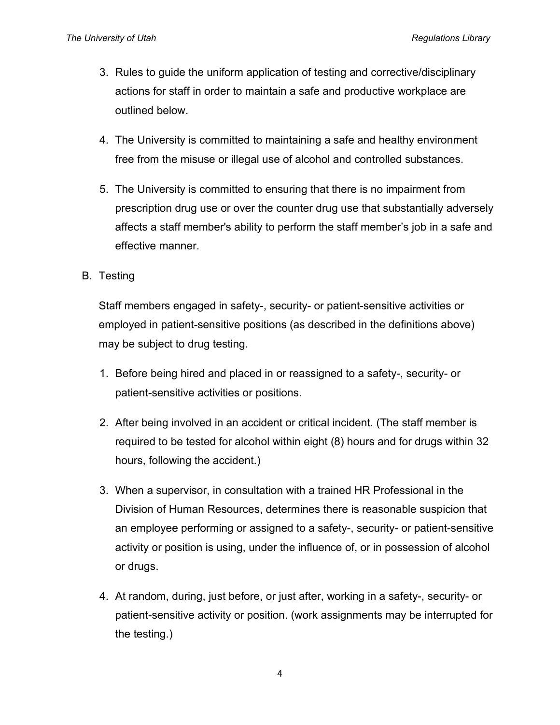- 3. Rules to guide the uniform application of testing and corrective/disciplinary actions for staff in order to maintain a safe and productive workplace are outlined below.
- 4. The University is committed to maintaining a safe and healthy environment free from the misuse or illegal use of alcohol and controlled substances.
- 5. The University is committed to ensuring that there is no impairment from prescription drug use or over the counter drug use that substantially adversely affects a staff member's ability to perform the staff member's job in a safe and effective manner.
- B. Testing

Staff members engaged in safety-, security- or patient-sensitive activities or employed in patient-sensitive positions (as described in the definitions above) may be subject to drug testing.

- 1. Before being hired and placed in or reassigned to a safety-, security- or patient-sensitive activities or positions.
- 2. After being involved in an accident or critical incident. (The staff member is required to be tested for alcohol within eight (8) hours and for drugs within 32 hours, following the accident.)
- 3. When a supervisor, in consultation with a trained HR Professional in the Division of Human Resources, determines there is reasonable suspicion that an employee performing or assigned to a safety-, security- or patient-sensitive activity or position is using, under the influence of, or in possession of alcohol or drugs.
- 4. At random, during, just before, or just after, working in a safety-, security- or patient-sensitive activity or position. (work assignments may be interrupted for the testing.)

4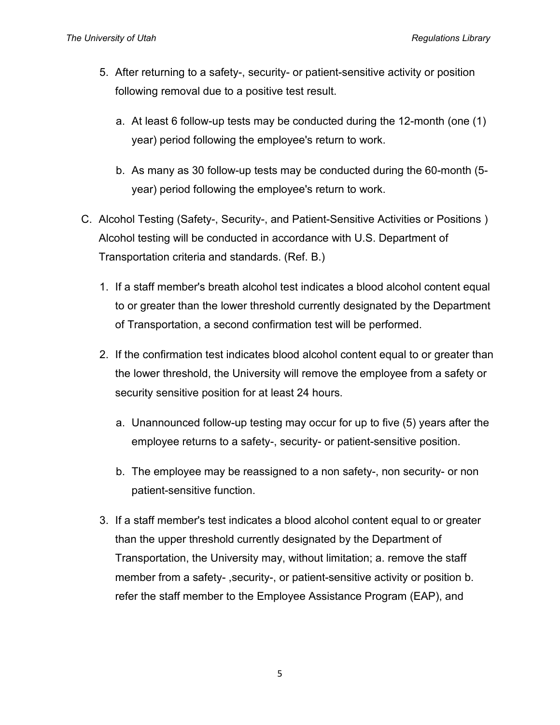- 5. After returning to a safety-, security- or patient-sensitive activity or position following removal due to a positive test result.
	- a. At least 6 follow-up tests may be conducted during the 12-month (one (1) year) period following the employee's return to work.
	- b. As many as 30 follow-up tests may be conducted during the 60-month (5 year) period following the employee's return to work.
- C. Alcohol Testing (Safety-, Security-, and Patient-Sensitive Activities or Positions ) Alcohol testing will be conducted in accordance with U.S. Department of Transportation criteria and standards. (Ref. B.)
	- 1. If a staff member's breath alcohol test indicates a blood alcohol content equal to or greater than the lower threshold currently designated by the Department of Transportation, a second confirmation test will be performed.
	- 2. If the confirmation test indicates blood alcohol content equal to or greater than the lower threshold, the University will remove the employee from a safety or security sensitive position for at least 24 hours.
		- a. Unannounced follow-up testing may occur for up to five (5) years after the employee returns to a safety-, security- or patient-sensitive position.
		- b. The employee may be reassigned to a non safety-, non security- or non patient-sensitive function.
	- 3. If a staff member's test indicates a blood alcohol content equal to or greater than the upper threshold currently designated by the Department of Transportation, the University may, without limitation; a. remove the staff member from a safety- ,security-, or patient-sensitive activity or position b. refer the staff member to the Employee Assistance Program (EAP), and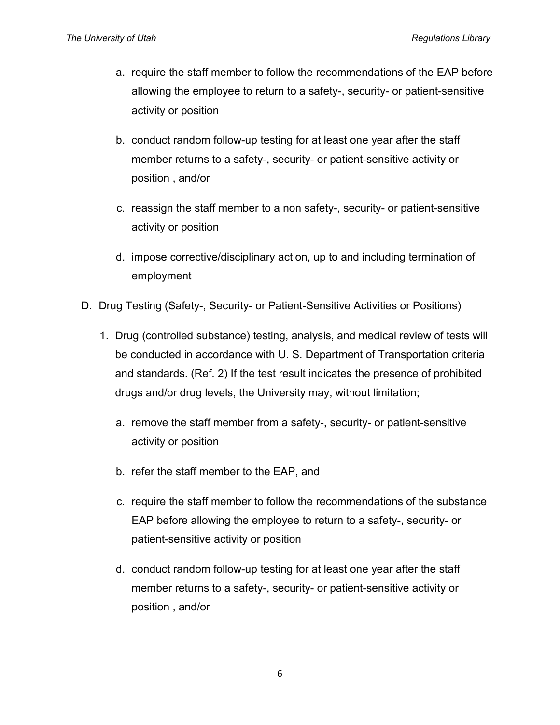- a. require the staff member to follow the recommendations of the EAP before allowing the employee to return to a safety-, security- or patient-sensitive activity or position
- b. conduct random follow-up testing for at least one year after the staff member returns to a safety-, security- or patient-sensitive activity or position , and/or
- c. reassign the staff member to a non safety-, security- or patient-sensitive activity or position
- d. impose corrective/disciplinary action, up to and including termination of employment
- D. Drug Testing (Safety-, Security- or Patient-Sensitive Activities or Positions)
	- 1. Drug (controlled substance) testing, analysis, and medical review of tests will be conducted in accordance with U. S. Department of Transportation criteria and standards. (Ref. 2) If the test result indicates the presence of prohibited drugs and/or drug levels, the University may, without limitation;
		- a. remove the staff member from a safety-, security- or patient-sensitive activity or position
		- b. refer the staff member to the EAP, and
		- c. require the staff member to follow the recommendations of the substance EAP before allowing the employee to return to a safety-, security- or patient-sensitive activity or position
		- d. conduct random follow-up testing for at least one year after the staff member returns to a safety-, security- or patient-sensitive activity or position , and/or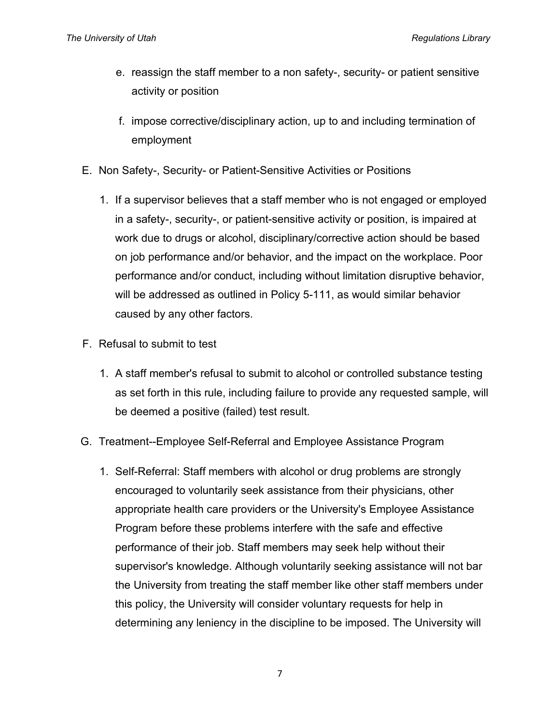- e. reassign the staff member to a non safety-, security- or patient sensitive activity or position
- f. impose corrective/disciplinary action, up to and including termination of employment
- E. Non Safety-, Security- or Patient-Sensitive Activities or Positions
	- 1. If a supervisor believes that a staff member who is not engaged or employed in a safety-, security-, or patient-sensitive activity or position, is impaired at work due to drugs or alcohol, disciplinary/corrective action should be based on job performance and/or behavior, and the impact on the workplace. Poor performance and/or conduct, including without limitation disruptive behavior, will be addressed as outlined in Policy 5-111, as would similar behavior caused by any other factors.
- F. Refusal to submit to test
	- 1. A staff member's refusal to submit to alcohol or controlled substance testing as set forth in this rule, including failure to provide any requested sample, will be deemed a positive (failed) test result.
- G. Treatment--Employee Self-Referral and Employee Assistance Program
	- 1. Self-Referral: Staff members with alcohol or drug problems are strongly encouraged to voluntarily seek assistance from their physicians, other appropriate health care providers or the University's Employee Assistance Program before these problems interfere with the safe and effective performance of their job. Staff members may seek help without their supervisor's knowledge. Although voluntarily seeking assistance will not bar the University from treating the staff member like other staff members under this policy, the University will consider voluntary requests for help in determining any leniency in the discipline to be imposed. The University will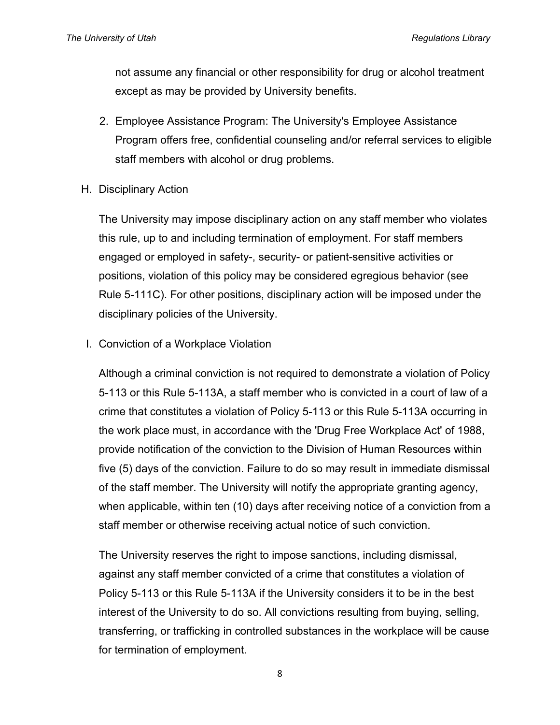not assume any financial or other responsibility for drug or alcohol treatment except as may be provided by University benefits.

- 2. Employee Assistance Program: The University's Employee Assistance Program offers free, confidential counseling and/or referral services to eligible staff members with alcohol or drug problems.
- H. Disciplinary Action

The University may impose disciplinary action on any staff member who violates this rule, up to and including termination of employment. For staff members engaged or employed in safety-, security- or patient-sensitive activities or positions, violation of this policy may be considered egregious behavior (see Rule 5-111C). For other positions, disciplinary action will be imposed under the disciplinary policies of the University.

I. Conviction of a Workplace Violation

Although a criminal conviction is not required to demonstrate a violation of Policy 5-113 or this Rule 5-113A, a staff member who is convicted in a court of law of a crime that constitutes a violation of Policy 5-113 or this Rule 5-113A occurring in the work place must, in accordance with the 'Drug Free Workplace Act' of 1988, provide notification of the conviction to the Division of Human Resources within five (5) days of the conviction. Failure to do so may result in immediate dismissal of the staff member. The University will notify the appropriate granting agency, when applicable, within ten (10) days after receiving notice of a conviction from a staff member or otherwise receiving actual notice of such conviction.

The University reserves the right to impose sanctions, including dismissal, against any staff member convicted of a crime that constitutes a violation of Policy 5-113 or this Rule 5-113A if the University considers it to be in the best interest of the University to do so. All convictions resulting from buying, selling, transferring, or trafficking in controlled substances in the workplace will be cause for termination of employment.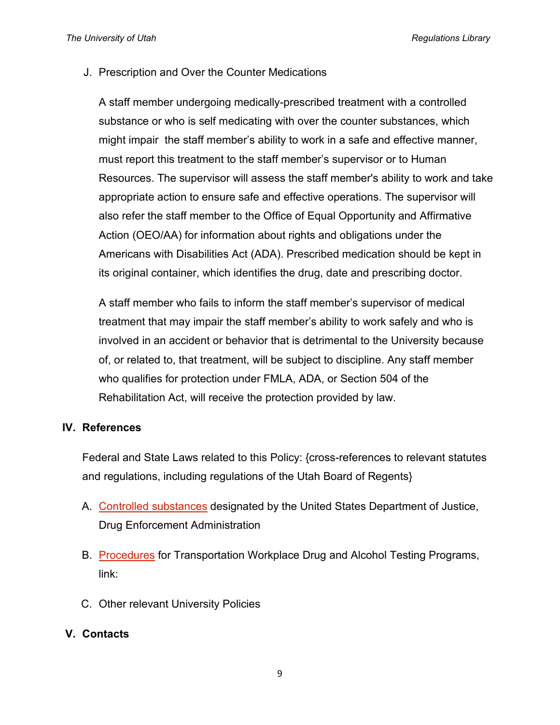J. Prescription and Over the Counter Medications

A staff member undergoing medically-prescribed treatment with a controlled substance or who is self medicating with over the counter substances, which might impair the staff member's ability to work in a safe and effective manner, must report this treatment to the staff member's supervisor or to Human Resources. The supervisor will assess the staff member's ability to work and take appropriate action to ensure safe and effective operations. The supervisor will also refer the staff member to the Office of Equal Opportunity and Affirmative Action (OEO/AA) for information about rights and obligations under the Americans with Disabilities Act (ADA). Prescribed medication should be kept in its original container, which identifies the drug, date and prescribing doctor.

A staff member who fails to inform the staff member's supervisor of medical treatment that may impair the staff member's ability to work safely and who is involved in an accident or behavior that is detrimental to the University because of, or related to, that treatment, will be subject to discipline. Any staff member who qualifies for protection under FMLA, ADA, or Section 504 of the Rehabilitation Act, will receive the protection provided by law.

#### **IV. References**

Federal and State Laws related to this Policy: {cross-references to relevant statutes and regulations, including regulations of the Utah Board of Regents}

- A. [Controlled substances](http://www.deadiversion.usdoj.gov/schedules/index.html) designated by the United States Department of Justice, Drug Enforcement Administration
- B. [Procedures](http://www.dot.gov/ost/dapc/NEW_DOCS/part40.html) for Transportation Workplace Drug and Alcohol Testing Programs, link:
- C. Other relevant University Policies

## **V. Contacts**